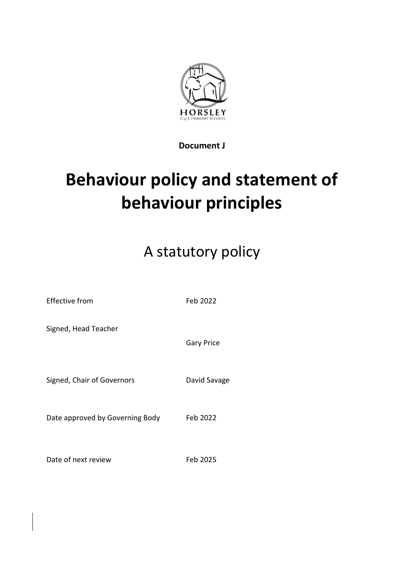

**Document J**

# **Behaviour policy and statement of behaviour principles**

## A statutory policy

| Effective from                  | Feb 2022          |
|---------------------------------|-------------------|
| Signed, Head Teacher            | <b>Gary Price</b> |
| Signed, Chair of Governors      | David Savage      |
| Date approved by Governing Body | Feb 2022          |
| Date of next review             | Feb 2025          |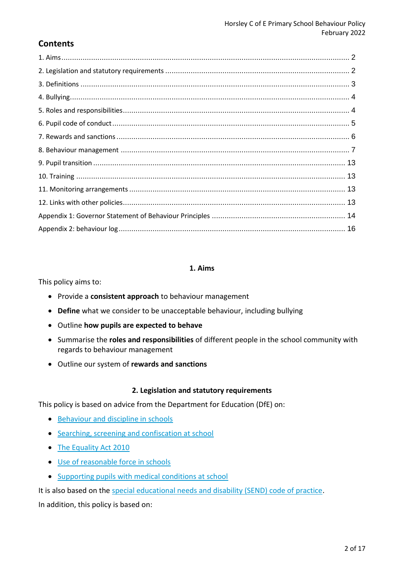## **Contents**

#### **1. Aims**

This policy aims to:

- Provide a **consistent approach** to behaviour management
- **Define** what we consider to be unacceptable behaviour, including bullying
- Outline **how pupils are expected to behave**
- Summarise the **roles and responsibilities** of different people in the school community with regards to behaviour management
- Outline our system of **rewards and sanctions**

#### **2. Legislation and statutory requirements**

This policy is based on advice from the Department for Education (DfE) on:

- [Behaviour and discipline in schools](https://www.gov.uk/government/publications/behaviour-and-discipline-in-schools)
- [Searching, screening and confiscation at school](https://www.gov.uk/government/publications/searching-screening-and-confiscation)
- [The Equality Act 2010](https://www.gov.uk/government/publications/equality-act-2010-advice-for-schools)
- [Use of reasonable force in schools](https://www.gov.uk/government/publications/use-of-reasonable-force-in-schools)
- [Supporting pupils with medical conditions at school](https://www.gov.uk/government/publications/supporting-pupils-at-school-with-medical-conditions--3)

It is also based on the [special educational needs and disability \(SEND\) code of practice.](https://www.gov.uk/government/publications/send-code-of-practice-0-to-25)

In addition, this policy is based on: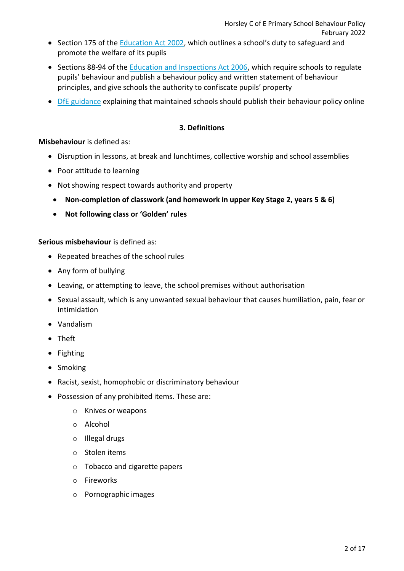- Section 175 of the [Education Act 2002](http://www.legislation.gov.uk/ukpga/2002/32/section/175), which outlines a school's duty to safeguard and promote the welfare of its pupils
- Sections 88-94 of the **Education and Inspections Act 2006**, which require schools to regulate pupils' behaviour and publish a behaviour policy and written statement of behaviour principles, and give schools the authority to confiscate pupils' property
- [DfE guidance](https://www.gov.uk/guidance/what-maintained-schools-must-publish-online#behaviour-policy) explaining that maintained schools should publish their behaviour policy online

#### **3. Definitions**

#### **Misbehaviour** is defined as:

- Disruption in lessons, at break and lunchtimes, collective worship and school assemblies
- Poor attitude to learning
- Not showing respect towards authority and property
- **Non-completion of classwork (and homework in upper Key Stage 2, years 5 & 6)**
- **Not following class or 'Golden' rules**

#### **Serious misbehaviour** is defined as:

- Repeated breaches of the school rules
- Any form of bullying
- Leaving, or attempting to leave, the school premises without authorisation
- Sexual assault, which is any unwanted sexual behaviour that causes humiliation, pain, fear or intimidation
- Vandalism
- Theft
- Fighting
- Smoking
- Racist, sexist, homophobic or discriminatory behaviour
- Possession of any prohibited items. These are:
	- o Knives or weapons
	- o Alcohol
	- o Illegal drugs
	- o Stolen items
	- o Tobacco and cigarette papers
	- o Fireworks
	- o Pornographic images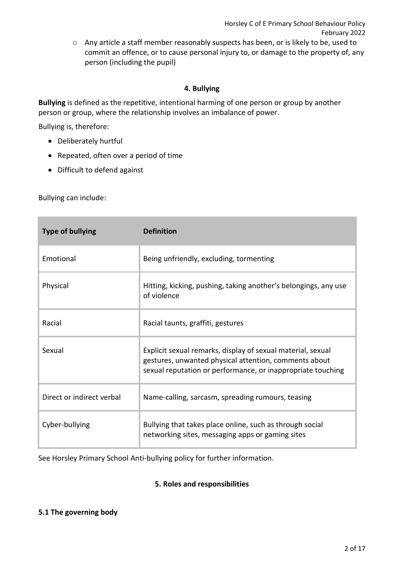o Any article a staff member reasonably suspects has been, or is likely to be, used to commit an offence, or to cause personal injury to, or damage to the property of, any person (including the pupil)

## **4. Bullying**

**Bullying** is defined as the repetitive, intentional harming of one person or group by another person or group, where the relationship involves an imbalance of power.

Bullying is, therefore:

- Deliberately hurtful
- Repeated, often over a period of time
- Difficult to defend against

Bullying can include:

| <b>Type of bullying</b>   | <b>Definition</b>                                                                                                                                                                   |
|---------------------------|-------------------------------------------------------------------------------------------------------------------------------------------------------------------------------------|
| Emotional                 | Being unfriendly, excluding, tormenting                                                                                                                                             |
| Physical                  | Hitting, kicking, pushing, taking another's belongings, any use<br>of violence                                                                                                      |
| Racial                    | Racial taunts, graffiti, gestures                                                                                                                                                   |
| Sexual                    | Explicit sexual remarks, display of sexual material, sexual<br>gestures, unwanted physical attention, comments about<br>sexual reputation or performance, or inappropriate touching |
| Direct or indirect verbal | Name-calling, sarcasm, spreading rumours, teasing                                                                                                                                   |
| Cyber-bullying            | Bullying that takes place online, such as through social<br>networking sites, messaging apps or gaming sites                                                                        |

See Horsley Primary School Anti-bullying policy for further information.

## **5. Roles and responsibilities**

#### **5.1 The governing body**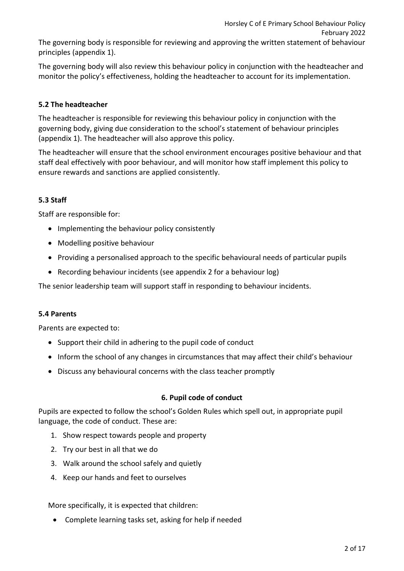The governing body is responsible for reviewing and approving the written statement of behaviour principles (appendix 1).

The governing body will also review this behaviour policy in conjunction with the headteacher and monitor the policy's effectiveness, holding the headteacher to account for its implementation.

## **5.2 The headteacher**

The headteacher is responsible for reviewing this behaviour policy in conjunction with the governing body, giving due consideration to the school's statement of behaviour principles (appendix 1). The headteacher will also approve this policy.

The headteacher will ensure that the school environment encourages positive behaviour and that staff deal effectively with poor behaviour, and will monitor how staff implement this policy to ensure rewards and sanctions are applied consistently.

## **5.3 Staff**

Staff are responsible for:

- Implementing the behaviour policy consistently
- Modelling positive behaviour
- Providing a personalised approach to the specific behavioural needs of particular pupils
- Recording behaviour incidents (see appendix 2 for a behaviour log)

The senior leadership team will support staff in responding to behaviour incidents.

## **5.4 Parents**

Parents are expected to:

- Support their child in adhering to the pupil code of conduct
- Inform the school of any changes in circumstances that may affect their child's behaviour
- Discuss any behavioural concerns with the class teacher promptly

## **6. Pupil code of conduct**

Pupils are expected to follow the school's Golden Rules which spell out, in appropriate pupil language, the code of conduct. These are:

- 1. Show respect towards people and property
- 2. Try our best in all that we do
- 3. Walk around the school safely and quietly
- 4. Keep our hands and feet to ourselves

More specifically, it is expected that children:

Complete learning tasks set, asking for help if needed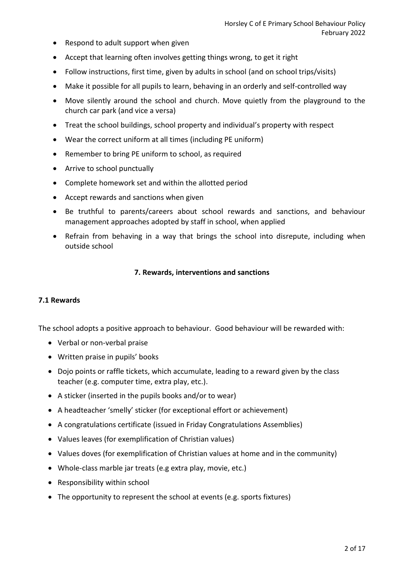- Respond to adult support when given
- Accept that learning often involves getting things wrong, to get it right
- Follow instructions, first time, given by adults in school (and on school trips/visits)
- Make it possible for all pupils to learn, behaving in an orderly and self-controlled way
- Move silently around the school and church. Move quietly from the playground to the church car park (and vice a versa)
- Treat the school buildings, school property and individual's property with respect
- Wear the correct uniform at all times (including PE uniform)
- Remember to bring PE uniform to school, as required
- Arrive to school punctually
- Complete homework set and within the allotted period
- Accept rewards and sanctions when given
- Be truthful to parents/careers about school rewards and sanctions, and behaviour management approaches adopted by staff in school, when applied
- Refrain from behaving in a way that brings the school into disrepute, including when outside school

## **7. Rewards, interventions and sanctions**

#### **7.1 Rewards**

The school adopts a positive approach to behaviour. Good behaviour will be rewarded with:

- Verbal or non-verbal praise
- Written praise in pupils' books
- Dojo points or raffle tickets, which accumulate, leading to a reward given by the class teacher (e.g. computer time, extra play, etc.).
- A sticker (inserted in the pupils books and/or to wear)
- A headteacher 'smelly' sticker (for exceptional effort or achievement)
- A congratulations certificate (issued in Friday Congratulations Assemblies)
- Values leaves (for exemplification of Christian values)
- Values doves (for exemplification of Christian values at home and in the community)
- Whole-class marble jar treats (e.g extra play, movie, etc.)
- Responsibility within school
- The opportunity to represent the school at events (e.g. sports fixtures)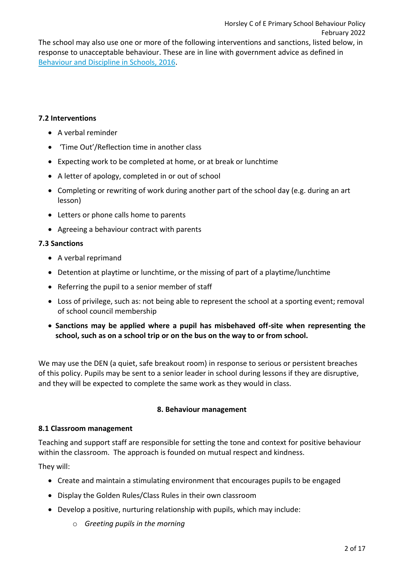The school may also use one or more of the following interventions and sanctions, listed below, in response to unacceptable behaviour. These are in line with government advice as defined in [Behaviour and Discipline in Schools, 2016.](https://assets.publishing.service.gov.uk/government/uploads/system/uploads/attachment_data/file/488034/Behaviour_and_Discipline_in_Schools_-_A_guide_for_headteachers_and_School_Staff.pdf)

#### **7.2 Interventions**

- A verbal reminder
- 'Time Out'/Reflection time in another class
- Expecting work to be completed at home, or at break or lunchtime
- A letter of apology, completed in or out of school
- Completing or rewriting of work during another part of the school day (e.g. during an art lesson)
- Letters or phone calls home to parents
- Agreeing a behaviour contract with parents

#### **7.3 Sanctions**

- A verbal reprimand
- Detention at playtime or lunchtime, or the missing of part of a playtime/lunchtime
- Referring the pupil to a senior member of staff
- Loss of privilege, such as: not being able to represent the school at a sporting event; removal of school council membership
- **Sanctions may be applied where a pupil has misbehaved off-site when representing the school, such as on a school trip or on the bus on the way to or from school.**

We may use the DEN (a quiet, safe breakout room) in response to serious or persistent breaches of this policy. Pupils may be sent to a senior leader in school during lessons if they are disruptive, and they will be expected to complete the same work as they would in class.

#### **8. Behaviour management**

#### **8.1 Classroom management**

Teaching and support staff are responsible for setting the tone and context for positive behaviour within the classroom. The approach is founded on mutual respect and kindness.

They will:

- Create and maintain a stimulating environment that encourages pupils to be engaged
- Display the Golden Rules/Class Rules in their own classroom
- Develop a positive, nurturing relationship with pupils, which may include:
	- o *Greeting pupils in the morning*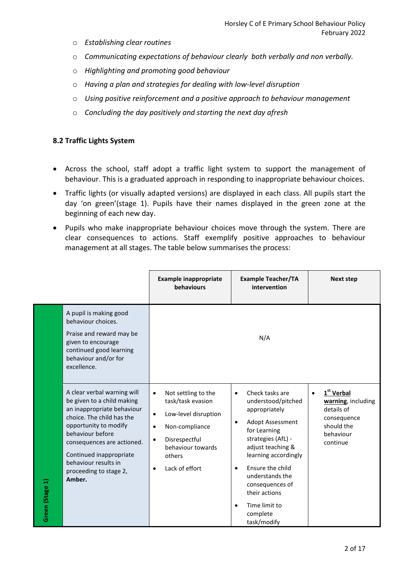- o *Establishing clear routines*
- o *Communicating expectations of behaviour clearly both verbally and non verbally.*
- o *Highlighting and promoting good behaviour*
- o *Having a plan and strategies for dealing with low-level disruption*
- o *Using positive reinforcement and a positive approach to behaviour management*
- o *Concluding the day positively and starting the next day afresh*

## **8.2 Traffic Lights System**

- Across the school, staff adopt a traffic light system to support the management of behaviour. This is a graduated approach in responding to inappropriate behaviour choices.
- Traffic lights (or visually adapted versions) are displayed in each class. All pupils start the day 'on green'(stage 1). Pupils have their names displayed in the green zone at the beginning of each new day.
- Pupils who make inappropriate behaviour choices move through the system. There are clear consequences to actions. Staff exemplify positive approaches to behaviour management at all stages. The table below summarises the process:

|                 |                                                                                                                                                                                                                                                                                        | <b>Example inappropriate</b><br>behaviours                                                                                                                                                               | <b>Example Teacher/TA</b><br>intervention                                                                                                                                                                                                                                                                                                | <b>Next step</b>                                                                                                              |
|-----------------|----------------------------------------------------------------------------------------------------------------------------------------------------------------------------------------------------------------------------------------------------------------------------------------|----------------------------------------------------------------------------------------------------------------------------------------------------------------------------------------------------------|------------------------------------------------------------------------------------------------------------------------------------------------------------------------------------------------------------------------------------------------------------------------------------------------------------------------------------------|-------------------------------------------------------------------------------------------------------------------------------|
|                 | A pupil is making good<br>behaviour choices.<br>Praise and reward may be<br>given to encourage<br>continued good learning<br>behaviour and/or for<br>excellence.                                                                                                                       |                                                                                                                                                                                                          | N/A                                                                                                                                                                                                                                                                                                                                      |                                                                                                                               |
| Green (Stage 1) | A clear verbal warning will<br>be given to a child making<br>an inappropriate behaviour<br>choice. The child has the<br>opportunity to modify<br>behaviour before<br>consequences are actioned.<br>Continued inappropriate<br>behaviour results in<br>proceeding to stage 2,<br>Amber. | Not settling to the<br>$\bullet$<br>task/task evasion<br>Low-level disruption<br>$\bullet$<br>Non-compliance<br>$\bullet$<br>Disrespectful<br>$\bullet$<br>behaviour towards<br>others<br>Lack of effort | Check tasks are<br>$\bullet$<br>understood/pitched<br>appropriately<br>Adopt Assessment<br>$\bullet$<br>for Learning<br>strategies (AfL) -<br>adjust teaching &<br>learning accordingly<br>Ensure the child<br>$\bullet$<br>understands the<br>consequences of<br>their actions<br>Time limit to<br>$\bullet$<br>complete<br>task/modify | 1 <sup>st</sup> Verbal<br>$\bullet$<br>warning, including<br>details of<br>consequence<br>should the<br>behaviour<br>continue |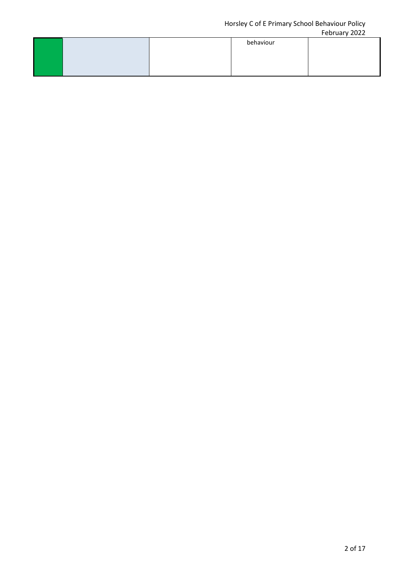#### Horsley C of E Primary School Behaviour Policy February 2022

|  |           | $1$ CNIVALY LULL |
|--|-----------|------------------|
|  | behaviour |                  |
|  |           |                  |
|  |           |                  |
|  |           |                  |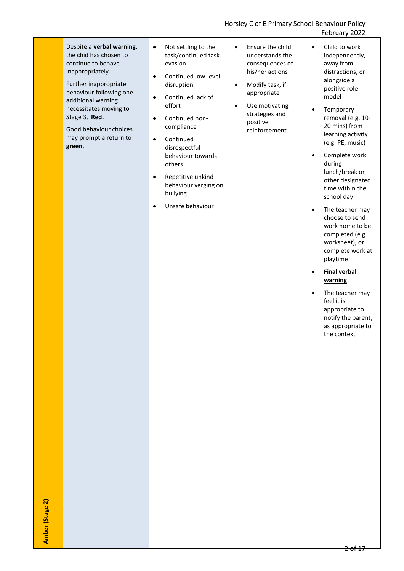Horsley C of E Primary School Behaviour Policy February 2022

|                 |                                                                                                                                                                                                                                                                                          |                                                                                                                                                                                                                                                                                                                                                                                                |                                                                                                                                                                                                                     | <b>I CUI UAI Y ZUZZ</b>                                                                                                                                                                                                                                                                                                                                                                                                                                                                                                                                                                                                                                           |
|-----------------|------------------------------------------------------------------------------------------------------------------------------------------------------------------------------------------------------------------------------------------------------------------------------------------|------------------------------------------------------------------------------------------------------------------------------------------------------------------------------------------------------------------------------------------------------------------------------------------------------------------------------------------------------------------------------------------------|---------------------------------------------------------------------------------------------------------------------------------------------------------------------------------------------------------------------|-------------------------------------------------------------------------------------------------------------------------------------------------------------------------------------------------------------------------------------------------------------------------------------------------------------------------------------------------------------------------------------------------------------------------------------------------------------------------------------------------------------------------------------------------------------------------------------------------------------------------------------------------------------------|
| Amber (Stage 2) | Despite a <b>verbal warning</b> ,<br>the chid has chosen to<br>continue to behave<br>inappropriately.<br>Further inappropriate<br>behaviour following one<br>additional warning<br>necessitates moving to<br>Stage 3, Red.<br>Good behaviour choices<br>may prompt a return to<br>green. | Not settling to the<br>$\bullet$<br>task/continued task<br>evasion<br>Continued low-level<br>$\bullet$<br>disruption<br>Continued lack of<br>$\bullet$<br>effort<br>Continued non-<br>$\bullet$<br>compliance<br>Continued<br>$\bullet$<br>disrespectful<br>behaviour towards<br>others<br>Repetitive unkind<br>$\bullet$<br>behaviour verging on<br>bullying<br>Unsafe behaviour<br>$\bullet$ | Ensure the child<br>$\bullet$<br>understands the<br>consequences of<br>his/her actions<br>Modify task, if<br>$\bullet$<br>appropriate<br>Use motivating<br>$\bullet$<br>strategies and<br>positive<br>reinforcement | Child to work<br>$\bullet$<br>independently,<br>away from<br>distractions, or<br>alongside a<br>positive role<br>model<br>Temporary<br>$\bullet$<br>removal (e.g. 10-<br>20 mins) from<br>learning activity<br>(e.g. PE, music)<br>Complete work<br>$\bullet$<br>during<br>lunch/break or<br>other designated<br>time within the<br>school day<br>The teacher may<br>$\bullet$<br>choose to send<br>work home to be<br>completed (e.g.<br>worksheet), or<br>complete work at<br>playtime<br><b>Final verbal</b><br>$\bullet$<br>warning<br>The teacher may<br>$\bullet$<br>feel it is<br>appropriate to<br>notify the parent,<br>as appropriate to<br>the context |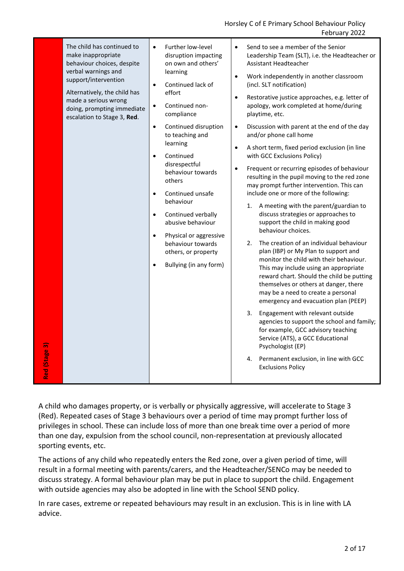|  | Continued non-<br>$\bullet$<br>doing, prompting immediate<br>compliance<br>escalation to Stage 3, Red.<br>Continued disruption<br>$\bullet$<br>$\bullet$<br>to teaching and<br>learning<br>$\bullet$<br>Continued<br>$\bullet$<br>disrespectful<br>$\bullet$<br>behaviour towards<br>others<br>Continued unsafe<br>$\bullet$<br>behaviour<br>Continued verbally<br>$\bullet$<br>abusive behaviour<br>Physical or aggressive<br>$\bullet$<br>behaviour towards<br>others, or property<br>Bullying (in any form)<br>$\bullet$<br>Red (Stage 3) | and/or phone call home<br>A short term, fixed period exclusion (in line<br>with GCC Exclusions Policy)<br>Frequent or recurring episodes of behaviour<br>resulting in the pupil moving to the red zone<br>may prompt further intervention. This can<br>include one or more of the following:<br>A meeting with the parent/guardian to<br>1.<br>discuss strategies or approaches to<br>support the child in making good<br>behaviour choices.<br>The creation of an individual behaviour<br>2.<br>plan (IBP) or My Plan to support and<br>monitor the child with their behaviour.<br>This may include using an appropriate<br>reward chart. Should the child be putting<br>themselves or others at danger, there<br>may be a need to create a personal<br>emergency and evacuation plan (PEEP)<br>3.<br>Engagement with relevant outside<br>agencies to support the school and family;<br>for example, GCC advisory teaching<br>Service (ATS), a GCC Educational<br>Psychologist (EP)<br>Permanent exclusion, in line with GCC<br>4.<br><b>Exclusions Policy</b> |
|--|----------------------------------------------------------------------------------------------------------------------------------------------------------------------------------------------------------------------------------------------------------------------------------------------------------------------------------------------------------------------------------------------------------------------------------------------------------------------------------------------------------------------------------------------|-----------------------------------------------------------------------------------------------------------------------------------------------------------------------------------------------------------------------------------------------------------------------------------------------------------------------------------------------------------------------------------------------------------------------------------------------------------------------------------------------------------------------------------------------------------------------------------------------------------------------------------------------------------------------------------------------------------------------------------------------------------------------------------------------------------------------------------------------------------------------------------------------------------------------------------------------------------------------------------------------------------------------------------------------------------------|
|--|----------------------------------------------------------------------------------------------------------------------------------------------------------------------------------------------------------------------------------------------------------------------------------------------------------------------------------------------------------------------------------------------------------------------------------------------------------------------------------------------------------------------------------------------|-----------------------------------------------------------------------------------------------------------------------------------------------------------------------------------------------------------------------------------------------------------------------------------------------------------------------------------------------------------------------------------------------------------------------------------------------------------------------------------------------------------------------------------------------------------------------------------------------------------------------------------------------------------------------------------------------------------------------------------------------------------------------------------------------------------------------------------------------------------------------------------------------------------------------------------------------------------------------------------------------------------------------------------------------------------------|

A child who damages property, or is verbally or physically aggressive, will accelerate to Stage 3 (Red). Repeated cases of Stage 3 behaviours over a period of time may prompt further loss of privileges in school. These can include loss of more than one break time over a period of more than one day, expulsion from the school council, non-representation at previously allocated sporting events, etc.

The actions of any child who repeatedly enters the Red zone, over a given period of time, will result in a formal meeting with parents/carers, and the Headteacher/SENCo may be needed to discuss strategy. A formal behaviour plan may be put in place to support the child. Engagement with outside agencies may also be adopted in line with the School SEND policy.

In rare cases, extreme or repeated behaviours may result in an exclusion. This is in line with LA advice.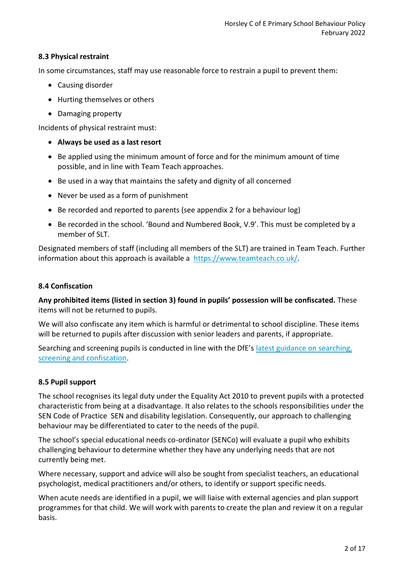## **8.3 Physical restraint**

In some circumstances, staff may use reasonable force to restrain a pupil to prevent them:

- Causing disorder
- Hurting themselves or others
- Damaging property

Incidents of physical restraint must:

- **Always be used as a last resort**
- Be applied using the minimum amount of force and for the minimum amount of time possible, and in line with Team Teach approaches.
- Be used in a way that maintains the safety and dignity of all concerned
- Never be used as a form of punishment
- Be recorded and reported to parents (see appendix 2 for a behaviour log)
- Be recorded in the school. 'Bound and Numbered Book, V.9'. This must be completed by a member of SLT.

Designated members of staff (including all members of the SLT) are trained in Team Teach. Further information about this approach is available a [https://www.teamteach.co.uk/.](https://www.teamteach.co.uk/)

## **8.4 Confiscation**

**Any prohibited items (listed in section 3) found in pupils' possession will be confiscated.** These items will not be returned to pupils.

We will also confiscate any item which is harmful or detrimental to school discipline. These items will be returned to pupils after discussion with senior leaders and parents, if appropriate.

Searching and screening pupils is conducted in line with the DfE's [latest guidance on searching,](https://www.gov.uk/government/publications/searching-screening-and-confiscation)  [screening and confiscation.](https://www.gov.uk/government/publications/searching-screening-and-confiscation)

## **8.5 Pupil support**

The school recognises its legal duty under the Equality Act 2010 to prevent pupils with a protected characteristic from being at a disadvantage. It also relates to the schools responsibilities under the SEN Code of Practice SEN and disability legislation. Consequently, our approach to challenging behaviour may be differentiated to cater to the needs of the pupil.

The school's special educational needs co-ordinator (SENCo) will evaluate a pupil who exhibits challenging behaviour to determine whether they have any underlying needs that are not currently being met.

Where necessary, support and advice will also be sought from specialist teachers, an educational psychologist, medical practitioners and/or others, to identify or support specific needs.

When acute needs are identified in a pupil, we will liaise with external agencies and plan support programmes for that child. We will work with parents to create the plan and review it on a regular basis.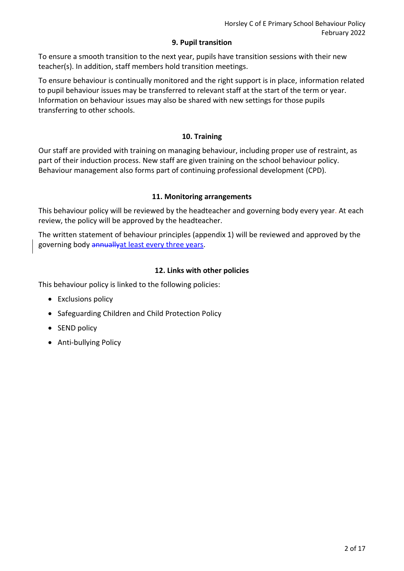#### **9. Pupil transition**

To ensure a smooth transition to the next year, pupils have transition sessions with their new teacher(s). In addition, staff members hold transition meetings.

To ensure behaviour is continually monitored and the right support is in place, information related to pupil behaviour issues may be transferred to relevant staff at the start of the term or year. Information on behaviour issues may also be shared with new settings for those pupils transferring to other schools.

## **10. Training**

Our staff are provided with training on managing behaviour, including proper use of restraint, as part of their induction process. New staff are given training on the school behaviour policy. Behaviour management also forms part of continuing professional development (CPD).

## **11. Monitoring arrangements**

This behaviour policy will be reviewed by the headteacher and governing body every year. At each review, the policy will be approved by the headteacher.

The written statement of behaviour principles (appendix 1) will be reviewed and approved by the governing body annually at least every three years.

## **12. Links with other policies**

This behaviour policy is linked to the following policies:

- Exclusions policy
- Safeguarding Children and Child Protection Policy
- SEND policy
- Anti-bullying Policy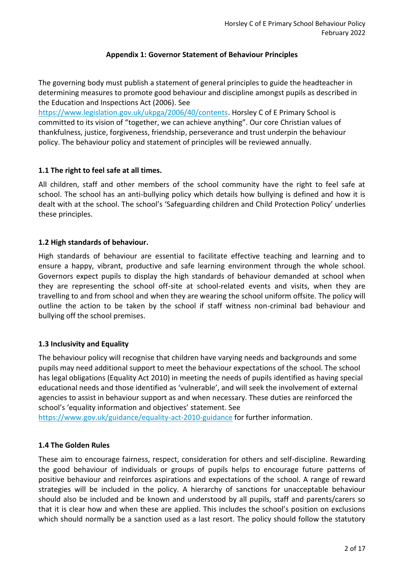#### **Appendix 1: Governor Statement of Behaviour Principles**

The governing body must publish a statement of general principles to guide the headteacher in determining measures to promote good behaviour and discipline amongst pupils as described in the Education and Inspections Act (2006). See

[https://www.legislation.gov.uk/ukpga/2006/40/contents.](https://www.legislation.gov.uk/ukpga/2006/40/contents) Horsley C of E Primary School is committed to its vision of "together, we can achieve anything". Our core Christian values of thankfulness, justice, forgiveness, friendship, perseverance and trust underpin the behaviour policy. The behaviour policy and statement of principles will be reviewed annually.

## **1.1 The right to feel safe at all times.**

All children, staff and other members of the school community have the right to feel safe at school. The school has an anti-bullying policy which details how bullying is defined and how it is dealt with at the school. The school's 'Safeguarding children and Child Protection Policy' underlies these principles.

## **1.2 High standards of behaviour.**

High standards of behaviour are essential to facilitate effective teaching and learning and to ensure a happy, vibrant, productive and safe learning environment through the whole school. Governors expect pupils to display the high standards of behaviour demanded at school when they are representing the school off-site at school-related events and visits, when they are travelling to and from school and when they are wearing the school uniform offsite. The policy will outline the action to be taken by the school if staff witness non-criminal bad behaviour and bullying off the school premises.

## **1.3 Inclusivity and Equality**

The behaviour policy will recognise that children have varying needs and backgrounds and some pupils may need additional support to meet the behaviour expectations of the school. The school has legal obligations (Equality Act 2010) in meeting the needs of pupils identified as having special educational needs and those identified as 'vulnerable', and will seek the involvement of external agencies to assist in behaviour support as and when necessary. These duties are reinforced the school's 'equality information and objectives' statement. See

<https://www.gov.uk/guidance/equality-act-2010-guidance> for further information.

## **1.4 The Golden Rules**

These aim to encourage fairness, respect, consideration for others and self-discipline. Rewarding the good behaviour of individuals or groups of pupils helps to encourage future patterns of positive behaviour and reinforces aspirations and expectations of the school. A range of reward strategies will be included in the policy. A hierarchy of sanctions for unacceptable behaviour should also be included and be known and understood by all pupils, staff and parents/carers so that it is clear how and when these are applied. This includes the school's position on exclusions which should normally be a sanction used as a last resort. The policy should follow the statutory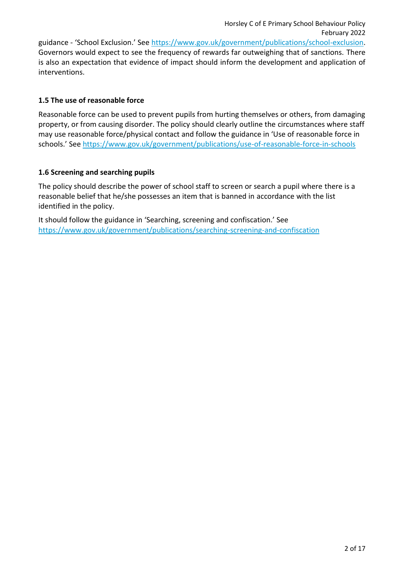guidance - 'School Exclusion.' See [https://www.gov.uk/government/publications/school-exclusion.](https://www.gov.uk/government/publications/school-exclusion) Governors would expect to see the frequency of rewards far outweighing that of sanctions. There is also an expectation that evidence of impact should inform the development and application of interventions.

## **1.5 The use of reasonable force**

Reasonable force can be used to prevent pupils from hurting themselves or others, from damaging property, or from causing disorder. The policy should clearly outline the circumstances where staff may use reasonable force/physical contact and follow the guidance in 'Use of reasonable force in schools.' See<https://www.gov.uk/government/publications/use-of-reasonable-force-in-schools>

## **1.6 Screening and searching pupils**

The policy should describe the power of school staff to screen or search a pupil where there is a reasonable belief that he/she possesses an item that is banned in accordance with the list identified in the policy.

It should follow the guidance in 'Searching, screening and confiscation.' See <https://www.gov.uk/government/publications/searching-screening-and-confiscation>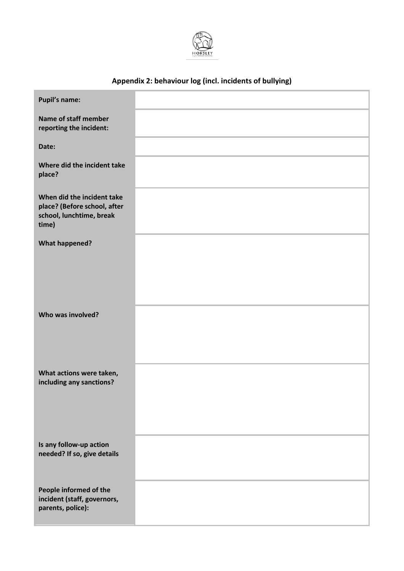

## **Appendix 2: behaviour log (incl. incidents of bullying)**

| <b>Pupil's name:</b>                                                                            |  |
|-------------------------------------------------------------------------------------------------|--|
| Name of staff member<br>reporting the incident:                                                 |  |
| Date:                                                                                           |  |
| Where did the incident take<br>place?                                                           |  |
| When did the incident take<br>place? (Before school, after<br>school, lunchtime, break<br>time) |  |
| <b>What happened?</b>                                                                           |  |
|                                                                                                 |  |
|                                                                                                 |  |
| Who was involved?                                                                               |  |
|                                                                                                 |  |
| What actions were taken,                                                                        |  |
| including any sanctions?                                                                        |  |
|                                                                                                 |  |
| Is any follow-up action                                                                         |  |
| needed? If so, give details                                                                     |  |
| People informed of the<br>incident (staff, governors,<br>parents, police):                      |  |